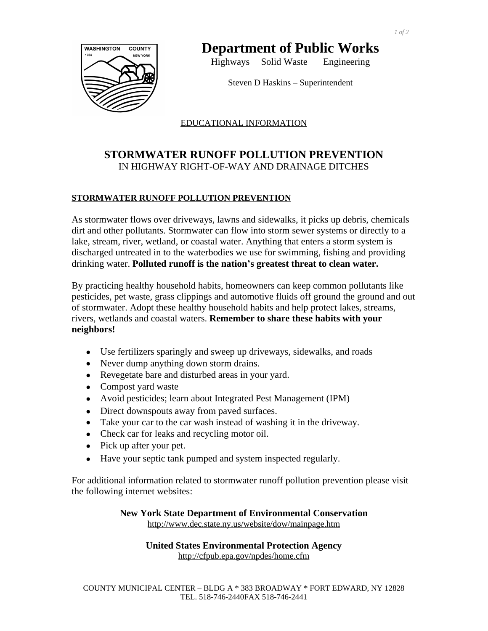

# **Department of Public Works**

Highways Solid Waste Engineering

Steven D Haskins – Superintendent

### EDUCATIONAL INFORMATION

## **STORMWATER RUNOFF POLLUTION PREVENTION** IN HIGHWAY RIGHT-OF-WAY AND DRAINAGE DITCHES

#### **STORMWATER RUNOFF POLLUTION PREVENTION**

As stormwater flows over driveways, lawns and sidewalks, it picks up debris, chemicals dirt and other pollutants. Stormwater can flow into storm sewer systems or directly to a lake, stream, river, wetland, or coastal water. Anything that enters a storm system is discharged untreated in to the waterbodies we use for swimming, fishing and providing drinking water. **Polluted runoff is the nation's greatest threat to clean water.**

By practicing healthy household habits, homeowners can keep common pollutants like pesticides, pet waste, grass clippings and automotive fluids off ground the ground and out of stormwater. Adopt these healthy household habits and help protect lakes, streams, rivers, wetlands and coastal waters. **Remember to share these habits with your neighbors!**

- Use fertilizers sparingly and sweep up driveways, sidewalks, and roads
- Never dump anything down storm drains.
- Revegetate bare and disturbed areas in your yard.
- Compost yard waste
- Avoid pesticides; learn about Integrated Pest Management (IPM)
- Direct downspouts away from paved surfaces.
- Take your car to the car wash instead of washing it in the driveway.
- Check car for leaks and recycling motor oil.
- Pick up after your pet.
- Have your septic tank pumped and system inspected regularly.

For additional information related to stormwater runoff pollution prevention please visit the following internet websites:

> **New York State Department of Environmental Conservation** http://www.dec.state.ny.us/website/dow/mainpage.htm

> > **United States Environmental Protection Agency** http://cfpub.epa.gov/npdes/home.cfm